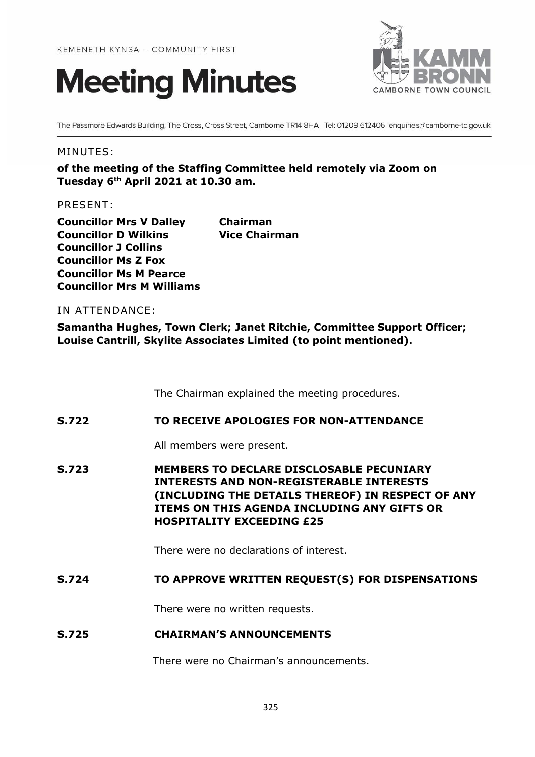



The Passmore Edwards Building, The Cross, Cross Street, Camborne TR14 8HA Tel: 01209 612406 enquiries@camborne-tc.gov.uk

#### MINUTES:

**of the meeting of the Staffing Committee held remotely via Zoom on Tuesday 6 th April 2021 at 10.30 am.**

PRESENT:

**Councillor Mrs V Dalley Chairman Councillor D Wilkins Vice Chairman Councillor J Collins Councillor Ms Z Fox Councillor Ms M Pearce Councillor Mrs M Williams**

# IN ATTENDANCE:

**Samantha Hughes, Town Clerk; Janet Ritchie, Committee Support Officer; Louise Cantrill, Skylite Associates Limited (to point mentioned).**

The Chairman explained the meeting procedures.

#### **S.722 TO RECEIVE APOLOGIES FOR NON-ATTENDANCE**

All members were present.

**S.723 MEMBERS TO DECLARE DISCLOSABLE PECUNIARY INTERESTS AND NON-REGISTERABLE INTERESTS (INCLUDING THE DETAILS THEREOF) IN RESPECT OF ANY ITEMS ON THIS AGENDA INCLUDING ANY GIFTS OR HOSPITALITY EXCEEDING £25**

There were no declarations of interest.

## **S.724 TO APPROVE WRITTEN REQUEST(S) FOR DISPENSATIONS**

There were no written requests.

## **S.725 CHAIRMAN'S ANNOUNCEMENTS**

There were no Chairman's announcements.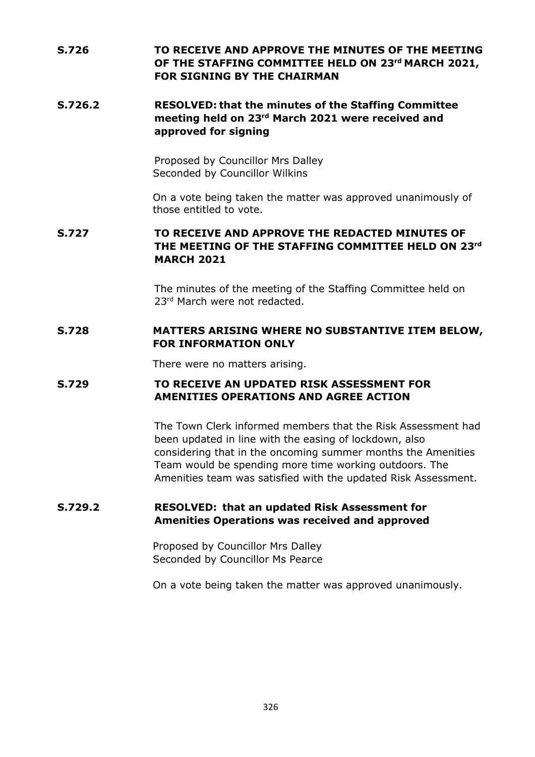# **S.726 TO RECEIVE AND APPROVE THE MINUTES OF THE MEETING OF THE STAFFING COMMITTEE HELD ON 23 rd MARCH 2021, FOR SIGNING BY THE CHAIRMAN**

# **S.726.2 RESOLVED: that the minutes of the Staffing Committee meeting held on 23 rd March 2021 were received and approved for signing**

Proposed by Councillor Mrs Dalley Seconded by Councillor Wilkins

On a vote being taken the matter was approved unanimously of those entitled to vote.

# **S.727 TO RECEIVE AND APPROVE THE REDACTED MINUTES OF THE MEETING OF THE STAFFING COMMITTEE HELD ON 23 rd MARCH 2021**

The minutes of the meeting of the Staffing Committee held on 23rd March were not redacted.

## **S.728 MATTERS ARISING WHERE NO SUBSTANTIVE ITEM BELOW, FOR INFORMATION ONLY**

There were no matters arising.

### **S.729 TO RECEIVE AN UPDATED RISK ASSESSMENT FOR AMENITIES OPERATIONS AND AGREE ACTION**

The Town Clerk informed members that the Risk Assessment had been updated in line with the easing of lockdown, also considering that in the oncoming summer months the Amenities Team would be spending more time working outdoors. The Amenities team was satisfied with the updated Risk Assessment.

## **S.729.2 RESOLVED: that an updated Risk Assessment for Amenities Operations was received and approved**

Proposed by Councillor Mrs Dalley Seconded by Councillor Ms Pearce

On a vote being taken the matter was approved unanimously.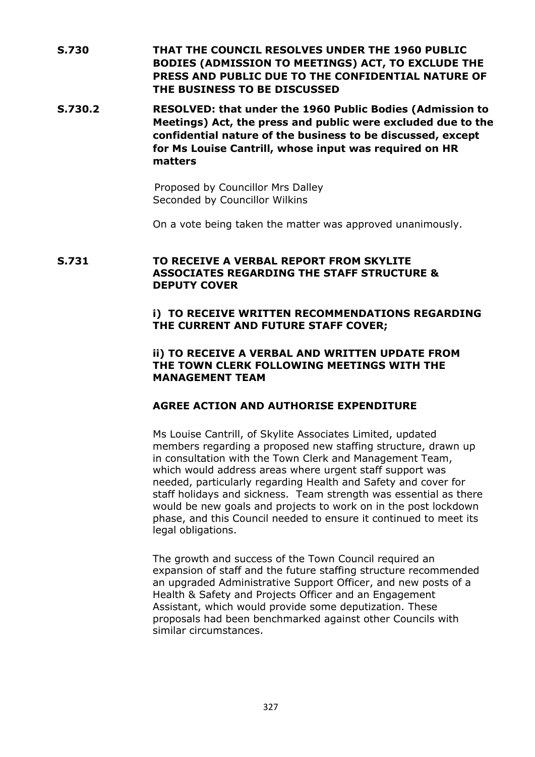- **S.730 THAT THE COUNCIL RESOLVES UNDER THE 1960 PUBLIC BODIES (ADMISSION TO MEETINGS) ACT, TO EXCLUDE THE PRESS AND PUBLIC DUE TO THE CONFIDENTIAL NATURE OF THE BUSINESS TO BE DISCUSSED**
- **S.730.2 RESOLVED: that under the 1960 Public Bodies (Admission to Meetings) Act, the press and public were excluded due to the confidential nature of the business to be discussed, except for Ms Louise Cantrill, whose input was required on HR matters**

Proposed by Councillor Mrs Dalley Seconded by Councillor Wilkins

On a vote being taken the matter was approved unanimously.

## **S.731 TO RECEIVE A VERBAL REPORT FROM SKYLITE ASSOCIATES REGARDING THE STAFF STRUCTURE & DEPUTY COVER**

## **i) TO RECEIVE WRITTEN RECOMMENDATIONS REGARDING THE CURRENT AND FUTURE STAFF COVER;**

#### **ii) TO RECEIVE A VERBAL AND WRITTEN UPDATE FROM THE TOWN CLERK FOLLOWING MEETINGS WITH THE MANAGEMENT TEAM**

## **AGREE ACTION AND AUTHORISE EXPENDITURE**

Ms Louise Cantrill, of Skylite Associates Limited, updated members regarding a proposed new staffing structure, drawn up in consultation with the Town Clerk and Management Team, which would address areas where urgent staff support was needed, particularly regarding Health and Safety and cover for staff holidays and sickness. Team strength was essential as there would be new goals and projects to work on in the post lockdown phase, and this Council needed to ensure it continued to meet its legal obligations.

The growth and success of the Town Council required an expansion of staff and the future staffing structure recommended an upgraded Administrative Support Officer, and new posts of a Health & Safety and Projects Officer and an Engagement Assistant, which would provide some deputization. These proposals had been benchmarked against other Councils with similar circumstances.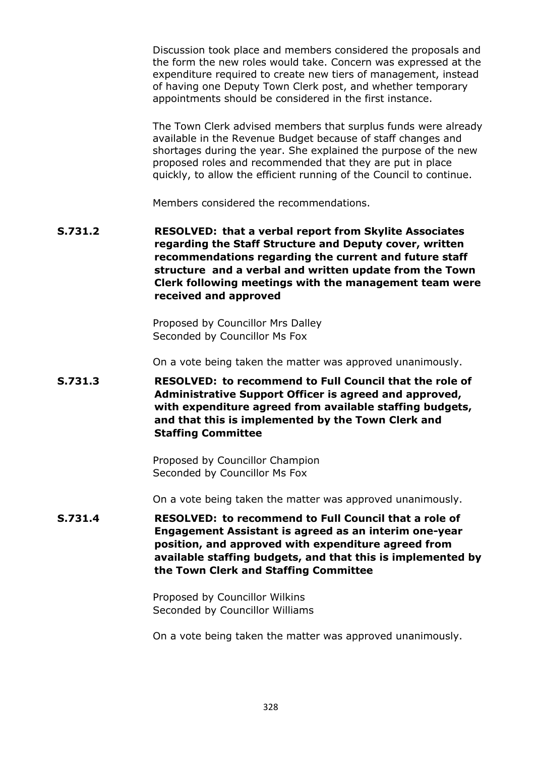Discussion took place and members considered the proposals and the form the new roles would take. Concern was expressed at the expenditure required to create new tiers of management, instead of having one Deputy Town Clerk post, and whether temporary appointments should be considered in the first instance.

The Town Clerk advised members that surplus funds were already available in the Revenue Budget because of staff changes and shortages during the year. She explained the purpose of the new proposed roles and recommended that they are put in place quickly, to allow the efficient running of the Council to continue.

Members considered the recommendations.

**S.731.2 RESOLVED: that a verbal report from Skylite Associates regarding the Staff Structure and Deputy cover, written recommendations regarding the current and future staff structure and a verbal and written update from the Town Clerk following meetings with the management team were received and approved**

> Proposed by Councillor Mrs Dalley Seconded by Councillor Ms Fox

On a vote being taken the matter was approved unanimously.

**S.731.3 RESOLVED: to recommend to Full Council that the role of Administrative Support Officer is agreed and approved, with expenditure agreed from available staffing budgets, and that this is implemented by the Town Clerk and Staffing Committee**

> Proposed by Councillor Champion Seconded by Councillor Ms Fox

On a vote being taken the matter was approved unanimously.

**S.731.4 RESOLVED: to recommend to Full Council that a role of Engagement Assistant is agreed as an interim one-year position, and approved with expenditure agreed from available staffing budgets, and that this is implemented by the Town Clerk and Staffing Committee**

> Proposed by Councillor Wilkins Seconded by Councillor Williams

On a vote being taken the matter was approved unanimously.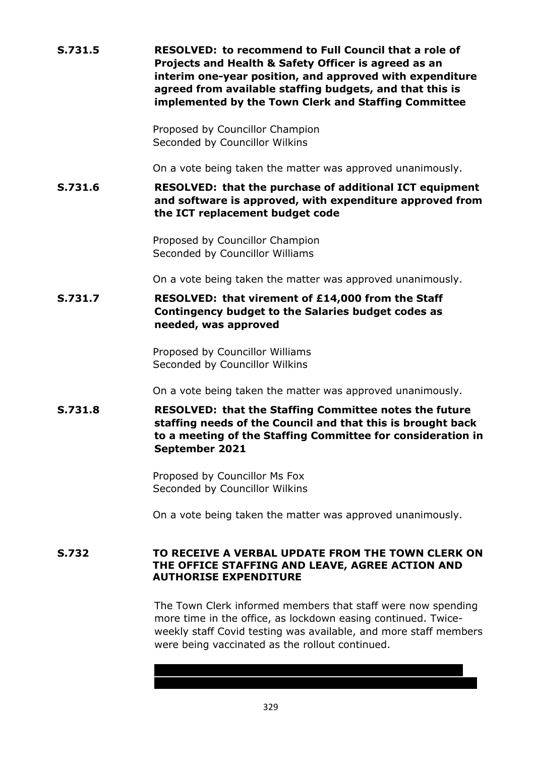| S.731.5      | <b>RESOLVED: to recommend to Full Council that a role of</b><br>Projects and Health & Safety Officer is agreed as an<br>interim one-year position, and approved with expenditure<br>agreed from available staffing budgets, and that this is<br>implemented by the Town Clerk and Staffing Committee |
|--------------|------------------------------------------------------------------------------------------------------------------------------------------------------------------------------------------------------------------------------------------------------------------------------------------------------|
|              | Proposed by Councillor Champion<br>Seconded by Councillor Wilkins                                                                                                                                                                                                                                    |
|              | On a vote being taken the matter was approved unanimously.                                                                                                                                                                                                                                           |
| S.731.6      | <b>RESOLVED: that the purchase of additional ICT equipment</b><br>and software is approved, with expenditure approved from<br>the ICT replacement budget code                                                                                                                                        |
|              | Proposed by Councillor Champion<br>Seconded by Councillor Williams                                                                                                                                                                                                                                   |
|              | On a vote being taken the matter was approved unanimously.                                                                                                                                                                                                                                           |
| S.731.7      | RESOLVED: that virement of £14,000 from the Staff<br>Contingency budget to the Salaries budget codes as<br>needed, was approved                                                                                                                                                                      |
|              | Proposed by Councillor Williams<br>Seconded by Councillor Wilkins                                                                                                                                                                                                                                    |
|              | On a vote being taken the matter was approved unanimously.                                                                                                                                                                                                                                           |
| S.731.8      | <b>RESOLVED: that the Staffing Committee notes the future</b><br>staffing needs of the Council and that this is brought back<br>to a meeting of the Staffing Committee for consideration in<br>September 2021                                                                                        |
|              | Proposed by Councillor Ms Fox<br>Seconded by Councillor Wilkins                                                                                                                                                                                                                                      |
|              | On a vote being taken the matter was approved unanimously.                                                                                                                                                                                                                                           |
| <b>S.732</b> | TO RECEIVE A VERBAL UPDATE FROM THE TOWN CLERK ON<br>THE OFFICE STAFFING AND LEAVE, AGREE ACTION AND<br><b>AUTHORISE EXPENDITURE</b>                                                                                                                                                                 |
|              | The Town Clerk informed members that staff were now spending<br>more time in the office, as lockdown easing continued. Twice-<br>weekly staff Covid testing was available, and more staff members<br>were being vaccinated as the rollout continued.                                                 |